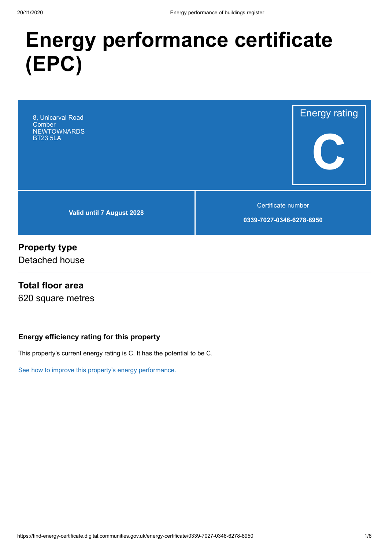# **Energy performance certificate (EPC)**



### **Property type**

Detached house

### **Total floor area**

620 square metres

### **Energy efficiency rating for this property**

This property's current energy rating is C. It has the potential to be C.

[See how to improve this property's energy performance.](#page-3-0)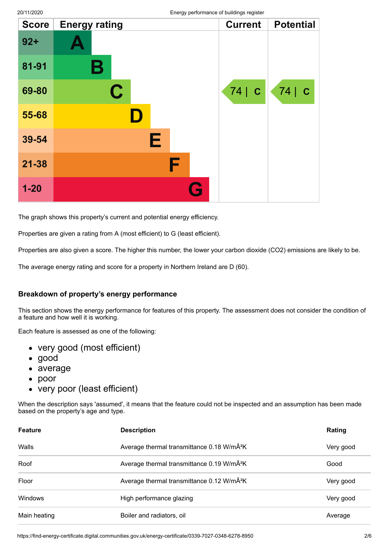| <b>Score</b> | <b>Energy rating</b>    | - יש כ- | <b>Current</b> | <b>Potential</b> |
|--------------|-------------------------|---------|----------------|------------------|
| $92 +$       |                         |         |                |                  |
| 81-91        | $\mathbf B$             |         |                |                  |
| 69-80        | $\overline{\mathbf{C}}$ |         | 74   C         | 74 C             |
| 55-68        |                         |         |                |                  |
| 39-54        | Е                       |         |                |                  |
| $21 - 38$    |                         | F       |                |                  |
| $1 - 20$     |                         | G       |                |                  |

The graph shows this property's current and potential energy efficiency.

Properties are given a rating from A (most efficient) to G (least efficient).

Properties are also given a score. The higher this number, the lower your carbon dioxide (CO2) emissions are likely to be.

The average energy rating and score for a property in Northern Ireland are D (60).

#### **Breakdown of property's energy performance**

This section shows the energy performance for features of this property. The assessment does not consider the condition of a feature and how well it is working.

Each feature is assessed as one of the following:

- very good (most efficient)
- good
- average
- $\bullet$ poor
- very poor (least efficient)

When the description says 'assumed', it means that the feature could not be inspected and an assumption has been made based on the property's age and type.

| <b>Feature</b> | <b>Description</b>                                     | Rating    |
|----------------|--------------------------------------------------------|-----------|
| Walls          | Average thermal transmittance 0.18 W/mÂ <sup>2</sup> K | Very good |
| Roof           | Average thermal transmittance 0.19 W/mÂ <sup>2</sup> K | Good      |
| Floor          | Average thermal transmittance 0.12 W/mÂ <sup>2</sup> K | Very good |
| <b>Windows</b> | High performance glazing                               | Very good |
| Main heating   | Boiler and radiators, oil                              | Average   |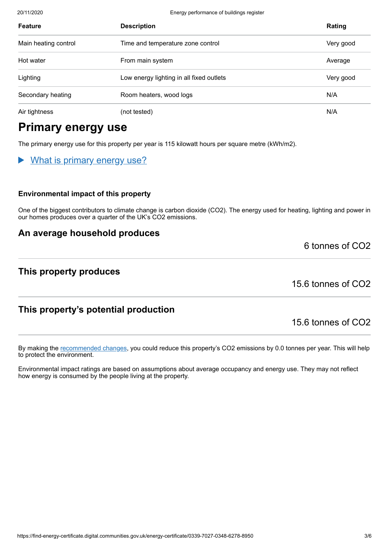20/11/2020 Energy performance of buildings register

| <b>Feature</b>       | <b>Description</b>                       | Rating    |
|----------------------|------------------------------------------|-----------|
| Main heating control | Time and temperature zone control        | Very good |
| Hot water            | From main system                         | Average   |
| Lighting             | Low energy lighting in all fixed outlets | Very good |
| Secondary heating    | Room heaters, wood logs                  | N/A       |
| Air tightness        | (not tested)                             | N/A       |

# **Primary energy use**

The primary energy use for this property per year is 115 kilowatt hours per square metre (kWh/m2).

### What is primary energy use?

#### **Environmental impact of this property**

One of the biggest contributors to climate change is carbon dioxide (CO2). The energy used for heating, lighting and power in our homes produces over a quarter of the UK's CO2 emissions.

### **An average household produces**

### **This property produces**

15.6 tonnes of CO2

6 tonnes of CO2

### **This property's potential production**

15.6 tonnes of CO2

By making the [recommended changes](#page-3-0), you could reduce this property's CO2 emissions by 0.0 tonnes per year. This will help to protect the environment.

Environmental impact ratings are based on assumptions about average occupancy and energy use. They may not reflect how energy is consumed by the people living at the property.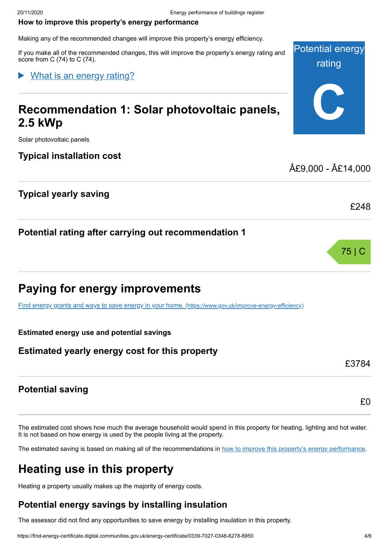#### <span id="page-3-0"></span>**How to improve this property's energy performance**

Making any of the recommended changes will improve this property's energy efficiency.

If you make all of the recommended changes, this will improve the property's energy rating and score from C (74) to C (74).

### What is an energy rating?

# **Recommendation 1: Solar photovoltaic panels, 2.5 kWp**

Solar photovoltaic panels

### **Typical installation cost**

### **Typical yearly saving**

**Potential rating after carrying out recommendation 1**

# **Paying for energy improvements**

[Find energy grants and ways to save energy in your home.](https://www.gov.uk/improve-energy-efficiency) (https://www.gov.uk/improve-energy-efficiency)

#### **Estimated energy use and potential savings**

### **Estimated yearly energy cost for this property**

**Potential saving**

The estimated cost shows how much the average household would spend in this property for heating, lighting and hot water. It is not based on how energy is used by the people living at the property.

The estimated saving is based on making all of the recommendations in [how to improve this property's energy performance.](#page-3-0)

# **Heating use in this property**

Heating a property usually makes up the majority of energy costs.

### **Potential energy savings by installing insulation**

The assessor did not find any opportunities to save energy by installing insulation in this property.



£9,000 - £14,000



£248

£0

£3784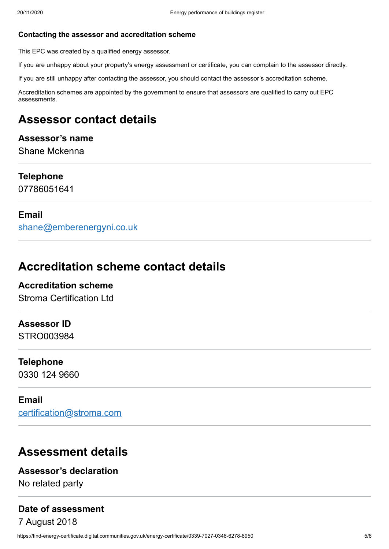#### **Contacting the assessor and accreditation scheme**

This EPC was created by a qualified energy assessor.

If you are unhappy about your property's energy assessment or certificate, you can complain to the assessor directly.

If you are still unhappy after contacting the assessor, you should contact the assessor's accreditation scheme.

Accreditation schemes are appointed by the government to ensure that assessors are qualified to carry out EPC assessments.

# **Assessor contact details**

### **Assessor's name** Shane Mckenna

**Telephone** 07786051641

### **Email**

[shane@emberenergyni.co.uk](mailto:shane@emberenergyni.co.uk)

### **Accreditation scheme contact details**

**Accreditation scheme** Stroma Certification Ltd

### **Assessor ID**

STRO003984

### **Telephone**

0330 124 9660

### **Email**

[certification@stroma.com](mailto:certification@stroma.com)

## **Assessment details**

### **Assessor's declaration**

No related party

# **Date of assessment**

7 August 2018